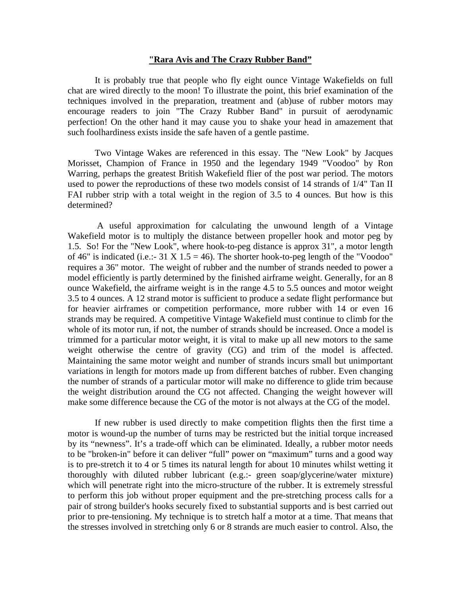## **"Rara Avis and The Crazy Rubber Band"**

 It is probably true that people who fly eight ounce Vintage Wakefields on full chat are wired directly to the moon! To illustrate the point, this brief examination of the techniques involved in the preparation, treatment and (ab)use of rubber motors may encourage readers to join "The Crazy Rubber Band" in pursuit of aerodynamic perfection! On the other hand it may cause you to shake your head in amazement that such foolhardiness exists inside the safe haven of a gentle pastime.

 Two Vintage Wakes are referenced in this essay. The "New Look" by Jacques Morisset, Champion of France in 1950 and the legendary 1949 "Voodoo" by Ron Warring, perhaps the greatest British Wakefield flier of the post war period. The motors used to power the reproductions of these two models consist of 14 strands of 1/4" Tan II FAI rubber strip with a total weight in the region of 3.5 to 4 ounces. But how is this determined?

 A useful approximation for calculating the unwound length of a Vintage Wakefield motor is to multiply the distance between propeller hook and motor peg by 1.5. So! For the "New Look", where hook-to-peg distance is approx 31", a motor length of 46" is indicated (i.e.:- 31 X 1.5 = 46). The shorter hook-to-peg length of the "Voodoo" requires a 36" motor. The weight of rubber and the number of strands needed to power a model efficiently is partly determined by the finished airframe weight. Generally, for an 8 ounce Wakefield, the airframe weight is in the range 4.5 to 5.5 ounces and motor weight 3.5 to 4 ounces. A 12 strand motor is sufficient to produce a sedate flight performance but for heavier airframes or competition performance, more rubber with 14 or even 16 strands may be required. A competitive Vintage Wakefield must continue to climb for the whole of its motor run, if not, the number of strands should be increased. Once a model is trimmed for a particular motor weight, it is vital to make up all new motors to the same weight otherwise the centre of gravity (CG) and trim of the model is affected. Maintaining the same motor weight and number of strands incurs small but unimportant variations in length for motors made up from different batches of rubber. Even changing the number of strands of a particular motor will make no difference to glide trim because the weight distribution around the CG not affected. Changing the weight however will make some difference because the CG of the motor is not always at the CG of the model.

 If new rubber is used directly to make competition flights then the first time a motor is wound-up the number of turns may be restricted but the initial torque increased by its "newness". It's a trade-off which can be eliminated. Ideally, a rubber motor needs to be "broken-in" before it can deliver "full" power on "maximum" turns and a good way is to pre-stretch it to 4 or 5 times its natural length for about 10 minutes whilst wetting it thoroughly with diluted rubber lubricant (e.g.:- green soap/glycerine/water mixture) which will penetrate right into the micro-structure of the rubber. It is extremely stressful to perform this job without proper equipment and the pre-stretching process calls for a pair of strong builder's hooks securely fixed to substantial supports and is best carried out prior to pre-tensioning. My technique is to stretch half a motor at a time. That means that the stresses involved in stretching only 6 or 8 strands are much easier to control. Also, the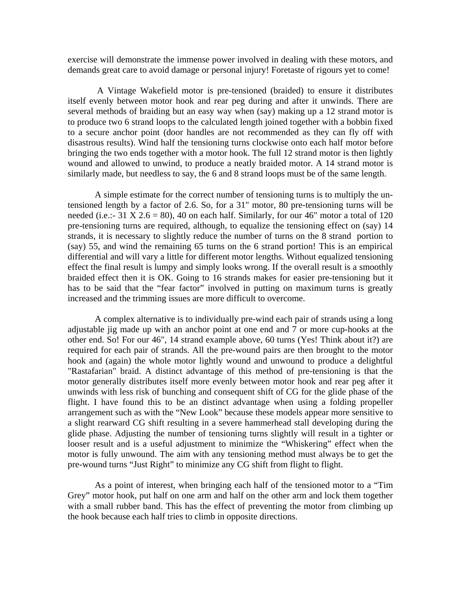exercise will demonstrate the immense power involved in dealing with these motors, and demands great care to avoid damage or personal injury! Foretaste of rigours yet to come!

 A Vintage Wakefield motor is pre-tensioned (braided) to ensure it distributes itself evenly between motor hook and rear peg during and after it unwinds. There are several methods of braiding but an easy way when (say) making up a 12 strand motor is to produce two 6 strand loops to the calculated length joined together with a bobbin fixed to a secure anchor point (door handles are not recommended as they can fly off with disastrous results). Wind half the tensioning turns clockwise onto each half motor before bringing the two ends together with a motor hook. The full 12 strand motor is then lightly wound and allowed to unwind, to produce a neatly braided motor. A 14 strand motor is similarly made, but needless to say, the 6 and 8 strand loops must be of the same length.

 A simple estimate for the correct number of tensioning turns is to multiply the untensioned length by a factor of 2.6. So, for a 31" motor, 80 pre-tensioning turns will be needed (i.e.:- 31 X 2.6 = 80), 40 on each half. Similarly, for our 46" motor a total of 120 pre-tensioning turns are required, although, to equalize the tensioning effect on (say) 14 strands, it is necessary to slightly reduce the number of turns on the 8 strand portion to (say) 55, and wind the remaining 65 turns on the 6 strand portion! This is an empirical differential and will vary a little for different motor lengths. Without equalized tensioning effect the final result is lumpy and simply looks wrong. If the overall result is a smoothly braided effect then it is OK. Going to 16 strands makes for easier pre-tensioning but it has to be said that the "fear factor" involved in putting on maximum turns is greatly increased and the trimming issues are more difficult to overcome.

 A complex alternative is to individually pre-wind each pair of strands using a long adjustable jig made up with an anchor point at one end and 7 or more cup-hooks at the other end. So! For our 46", 14 strand example above, 60 turns (Yes! Think about it?) are required for each pair of strands. All the pre-wound pairs are then brought to the motor hook and (again) the whole motor lightly wound and unwound to produce a delightful "Rastafarian" braid. A distinct advantage of this method of pre-tensioning is that the motor generally distributes itself more evenly between motor hook and rear peg after it unwinds with less risk of bunching and consequent shift of CG for the glide phase of the flight. I have found this to be an distinct advantage when using a folding propeller arrangement such as with the "New Look" because these models appear more sensitive to a slight rearward CG shift resulting in a severe hammerhead stall developing during the glide phase. Adjusting the number of tensioning turns slightly will result in a tighter or looser result and is a useful adjustment to minimize the "Whiskering" effect when the motor is fully unwound. The aim with any tensioning method must always be to get the pre-wound turns "Just Right" to minimize any CG shift from flight to flight.

 As a point of interest, when bringing each half of the tensioned motor to a "Tim Grey" motor hook, put half on one arm and half on the other arm and lock them together with a small rubber band. This has the effect of preventing the motor from climbing up the hook because each half tries to climb in opposite directions.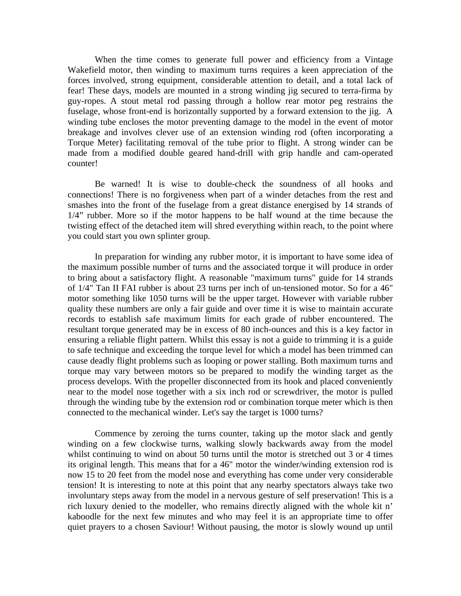When the time comes to generate full power and efficiency from a Vintage Wakefield motor, then winding to maximum turns requires a keen appreciation of the forces involved, strong equipment, considerable attention to detail, and a total lack of fear! These days, models are mounted in a strong winding jig secured to terra-firma by guy-ropes. A stout metal rod passing through a hollow rear motor peg restrains the fuselage, whose front-end is horizontally supported by a forward extension to the jig. A winding tube encloses the motor preventing damage to the model in the event of motor breakage and involves clever use of an extension winding rod (often incorporating a Torque Meter) facilitating removal of the tube prior to flight. A strong winder can be made from a modified double geared hand-drill with grip handle and cam-operated counter!

 Be warned! It is wise to double-check the soundness of all hooks and connections! There is no forgiveness when part of a winder detaches from the rest and smashes into the front of the fuselage from a great distance energised by 14 strands of 1/4" rubber. More so if the motor happens to be half wound at the time because the twisting effect of the detached item will shred everything within reach, to the point where you could start you own splinter group.

 In preparation for winding any rubber motor, it is important to have some idea of the maximum possible number of turns and the associated torque it will produce in order to bring about a satisfactory flight. A reasonable "maximum turns" guide for 14 strands of 1/4" Tan II FAI rubber is about 23 turns per inch of un-tensioned motor. So for a 46" motor something like 1050 turns will be the upper target. However with variable rubber quality these numbers are only a fair guide and over time it is wise to maintain accurate records to establish safe maximum limits for each grade of rubber encountered. The resultant torque generated may be in excess of 80 inch-ounces and this is a key factor in ensuring a reliable flight pattern. Whilst this essay is not a guide to trimming it is a guide to safe technique and exceeding the torque level for which a model has been trimmed can cause deadly flight problems such as looping or power stalling. Both maximum turns and torque may vary between motors so be prepared to modify the winding target as the process develops. With the propeller disconnected from its hook and placed conveniently near to the model nose together with a six inch rod or screwdriver, the motor is pulled through the winding tube by the extension rod or combination torque meter which is then connected to the mechanical winder. Let's say the target is 1000 turns?

 Commence by zeroing the turns counter, taking up the motor slack and gently winding on a few clockwise turns, walking slowly backwards away from the model whilst continuing to wind on about 50 turns until the motor is stretched out 3 or 4 times its original length. This means that for a 46" motor the winder/winding extension rod is now 15 to 20 feet from the model nose and everything has come under very considerable tension! It is interesting to note at this point that any nearby spectators always take two involuntary steps away from the model in a nervous gesture of self preservation! This is a rich luxury denied to the modeller, who remains directly aligned with the whole kit n' kaboodle for the next few minutes and who may feel it is an appropriate time to offer quiet prayers to a chosen Saviour! Without pausing, the motor is slowly wound up until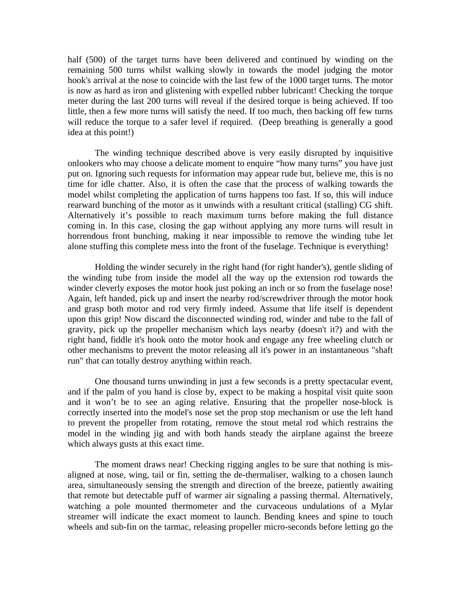half (500) of the target turns have been delivered and continued by winding on the remaining 500 turns whilst walking slowly in towards the model judging the motor hook's arrival at the nose to coincide with the last few of the 1000 target turns. The motor is now as hard as iron and glistening with expelled rubber lubricant! Checking the torque meter during the last 200 turns will reveal if the desired torque is being achieved. If too little, then a few more turns will satisfy the need. If too much, then backing off few turns will reduce the torque to a safer level if required. (Deep breathing is generally a good idea at this point!)

 The winding technique described above is very easily disrupted by inquisitive onlookers who may choose a delicate moment to enquire "how many turns" you have just put on. Ignoring such requests for information may appear rude but, believe me, this is no time for idle chatter. Also, it is often the case that the process of walking towards the model whilst completing the application of turns happens too fast. If so, this will induce rearward bunching of the motor as it unwinds with a resultant critical (stalling) CG shift. Alternatively it's possible to reach maximum turns before making the full distance coming in. In this case, closing the gap without applying any more turns will result in horrendous front bunching, making it near impossible to remove the winding tube let alone stuffing this complete mess into the front of the fuselage. Technique is everything!

 Holding the winder securely in the right hand (for right hander's), gentle sliding of the winding tube from inside the model all the way up the extension rod towards the winder cleverly exposes the motor hook just poking an inch or so from the fuselage nose! Again, left handed, pick up and insert the nearby rod/screwdriver through the motor hook and grasp both motor and rod very firmly indeed. Assume that life itself is dependent upon this grip! Now discard the disconnected winding rod, winder and tube to the fall of gravity, pick up the propeller mechanism which lays nearby (doesn't it?) and with the right hand, fiddle it's hook onto the motor hook and engage any free wheeling clutch or other mechanisms to prevent the motor releasing all it's power in an instantaneous "shaft run" that can totally destroy anything within reach.

 One thousand turns unwinding in just a few seconds is a pretty spectacular event, and if the palm of you hand is close by, expect to be making a hospital visit quite soon and it won't be to see an aging relative. Ensuring that the propeller nose-block is correctly inserted into the model's nose set the prop stop mechanism or use the left hand to prevent the propeller from rotating, remove the stout metal rod which restrains the model in the winding jig and with both hands steady the airplane against the breeze which always gusts at this exact time.

 The moment draws near! Checking rigging angles to be sure that nothing is misaligned at nose, wing, tail or fin, setting the de-thermaliser, walking to a chosen launch area, simultaneously sensing the strength and direction of the breeze, patiently awaiting that remote but detectable puff of warmer air signaling a passing thermal. Alternatively, watching a pole mounted thermometer and the curvaceous undulations of a Mylar streamer will indicate the exact moment to launch. Bending knees and spine to touch wheels and sub-fin on the tarmac, releasing propeller micro-seconds before letting go the